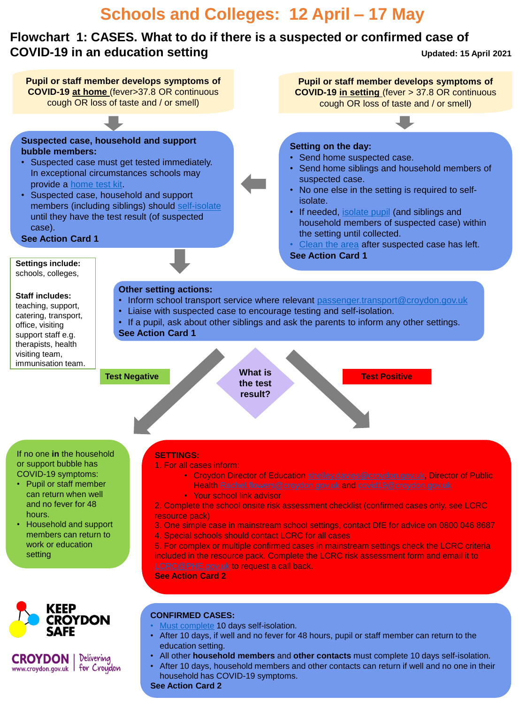# **Schools and Colleges: 12 April – 17 May**

### **Flowchart 1: CASES. What to do if there is a suspected or confirmed case of COVID-19 in an education setting Updated: 15 April 2021**

**Pupil or staff member develops symptoms of Pupil or staff member develops symptoms of COVID-19 at home** (fever>37.8 OR continuous **COVID-19 in setting** (fever > 37.8 OR continuous cough OR loss of taste and / or smell) cough OR loss of taste and / or smell) **Suspected case, household and support Setting on the day: bubble members:** • Send home suspected case. • Suspected case must get tested immediately. • Send home siblings and household members of In exceptional circumstances schools may suspected case. provide a [home test kit.](https://www.gov.uk/government/publications/coronavirus-covid-19-home-test-kits-for-schools-and-fe-providers?utm_source=11839424-3a29-4d0b-996e-bf1a98a58db3&utm_medium=email&utm_campaign=govuk-notifications&utm_content=immediate) • No one else in the setting is required to self-• Suspected case, household and support isolate. members (including siblings) should [self-isolate](https://www.gov.uk/government/publications/covid-19-stay-at-home-guidance/stay-at-home-guidance-for-households-with-possible-coronavirus-covid-19-infection) • If needed, [isolate pupil](https://www.gov.uk/government/publications/actions-for-schools-during-the-coronavirus-outbreak/guidance-for-full-opening-schools) (and siblings and until they have the test result (of suspected household members of suspected case) within case). the setting until collected. **See Action Card 1** [Clean the area](https://www.gov.uk/government/publications/covid-19-decontamination-in-non-healthcare-settings/covid-19-decontamination-in-non-healthcare-settings) after suspected case has left. **See Action Card 1 Settings include:**  schools, colleges, **Other setting actions: Staff includes:**  • Inform school transport service where relevant [passenger.transport@croydon.gov.uk](mailto:passenger.transport@croydon.gov.uk) teaching, support, • Liaise with suspected case to encourage testing and self-isolation. catering, transport, • If a pupil, ask about other siblings and ask the parents to inform any other settings. office, visiting **See Action Card 1** support staff e.g. therapists, health visiting team, immunisation team. **What is Test Negative Test Positive the test result?** If no one **in** the household **SETTINGS:** or support bubble has 1. For all cases inform: COVID-19 symptoms: • Croydon Director of Education [shelley.davies@croydon.gov.uk,](mailto:shelley.davies@croydon.gov.uk) Director of Public • Pupil or staff member Health [Rachel.flowers@croydon.gov.uk](mailto:Rachel.flowers@croydon.gov.uk) and [covid19@croydon.gov.uk](mailto:covid19@croydon.gov.uk) can return when well • Your school link advisor and no fever for 48 2. Complete the school onsite risk assessment checklist (confirmed cases only, see LCRC hours. resource pack) • Household and support 3. One simple case in mainstream school settings, contact DfE for advice on 0800 046 8687 members can return to 4. Special schools should contact LCRC for all cases work or education 5. For complex or multiple confirmed cases in mainstream settings check the LCRC criteria setting included in the resource pack. Complete the LCRC risk assessment form and email it to [LCRC@PHE.gov.uk](mailto:LCRC@PHE.gov.uk) to request a call back. **See Action Card 2 CONFIRMED CASES: CROYDON** • [Must complete](https://www.gov.uk/guidance/nhs-test-and-trace-how-it-works) 10 days self-isolation. • After 10 days, if well and no fever for 48 hours, pupil or staff member can return to the education setting.

- All other **household members** and **other contacts** must complete 10 days self-isolation.
- After 10 days, household members and other contacts can return if well and no one in their household has COVID-19 symptoms.

**CROYDON** | Delivering www.croydon.gov.uk | for Croydon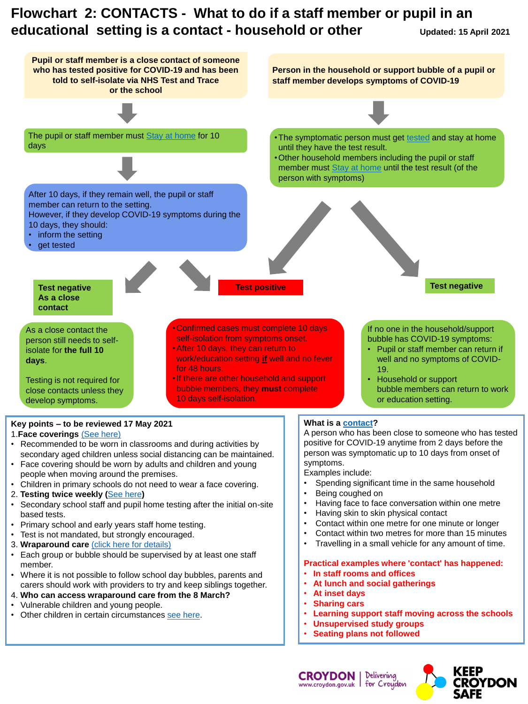# **Flowchart 2: CONTACTS - What to do if a staff member or pupil in an educational setting is a contact - household or other Updated: 15 April 2021**



### 1.**Face coverings** [\(See here\)](https://www.gov.uk/government/publications/guidance-for-parents-and-carers-of-children-attending-out-of-school-settings-during-the-coronavirus-covid-19-outbreak/guidance-for-parents-and-carers-of-children-attending-out-of-school-settings-during-the-coronavirus-covid-19-outbreak#face-coverings)

- Recommended to be worn in classrooms and during activities by secondary aged children unless social distancing can be maintained.
- Face covering should be worn by adults and children and young people when moving around the premises.
- Children in primary schools do not need to wear a face covering.
- 2. **Testing twice weekly (**[See here](https://www.gov.uk/government/publications/coronavirus-covid-19-asymptomatic-testing-in-schools-and-colleges/coronavirus-covid-19-asymptomatic-testing-in-schools-and-colleges)**)**
- Secondary school staff and pupil home testing after the initial on-site based tests.
- Primary school and early years staff home testing.
- Test is not mandated, but strongly encouraged.
- 3. **Wraparound care** [\(click here for details\)](https://www.gov.uk/government/publications/guidance-for-parents-and-carers-of-children-attending-out-of-school-settings-during-the-coronavirus-covid-19-outbreak/guidance-for-parents-and-carers-of-children-attending-out-of-school-settings-during-the-coronavirus-covid-19-outbreak#who-can-attend)
- Each group or bubble should be supervised by at least one staff member.
- Where it is not possible to follow school day bubbles, parents and carers should work with providers to try and keep siblings together.
- 4. **Who can access wraparound care from the 8 March?**
- Vulnerable children and young people.
- Other children in certain circumstances [see here](https://www.gov.uk/government/publications/guidance-for-parents-and-carers-of-children-attending-out-of-school-settings-during-the-coronavirus-covid-19-outbreak/guidance-for-parents-and-carers-of-children-attending-out-of-school-settings-during-the-coronavirus-covid-19-outbreak#bubbles-and-group).

A person who has been close to someone who has tested positive for COVID-19 anytime from 2 days before the person was symptomatic up to 10 days from onset of symptoms.

Examples include:

- Spending significant time in the same household
- Being coughed on
- Having face to face conversation within one metre
- Having skin to skin physical contact
- Contact within one metre for one minute or longer
- Contact within two metres for more than 15 minutes
- Travelling in a small vehicle for any amount of time.

## **Practical examples where 'contact' has happened:**

- **In staff rooms and offices**
- **At lunch and social gatherings**
- **At inset days**

**CROYDON** 

- **Sharing cars**
- **Learning support staff moving across the schools**
- **Unsupervised study groups**
- **Seating plans not followed**

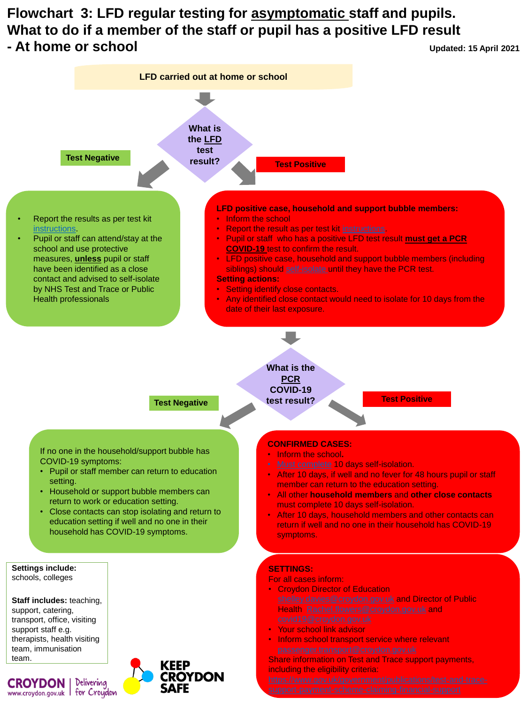# **Flowchart 3: LFD regular testing for asymptomatic staff and pupils. What to do if a member of the staff or pupil has a positive LFD result - At home or school Updated: 15 April 2021**



OYDON

**CROYDON I** 

www.croydon.gov.uk I for Croydon

Delivering

Share information on Test and Trace support payments, including the eligibility criteria: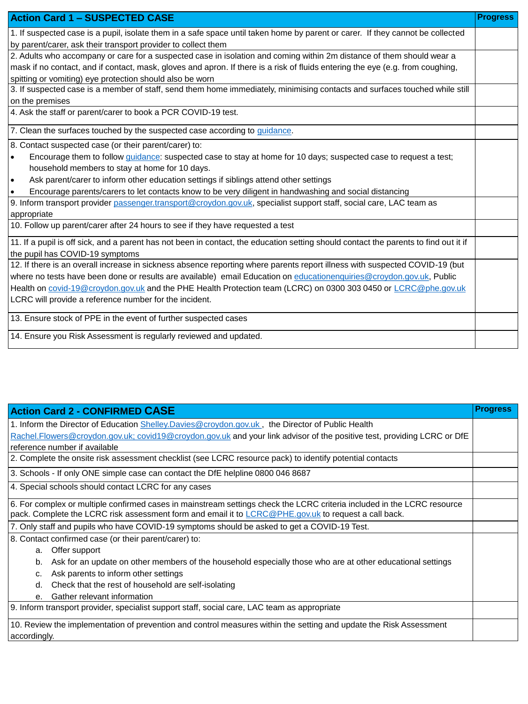| <b>Action Card 1 - SUSPECTED CASE</b>                                                                                                 | <b>Progress</b> |  |  |  |
|---------------------------------------------------------------------------------------------------------------------------------------|-----------------|--|--|--|
| 1. If suspected case is a pupil, isolate them in a safe space until taken home by parent or carer. If they cannot be collected        |                 |  |  |  |
| by parent/carer, ask their transport provider to collect them                                                                         |                 |  |  |  |
| 2. Adults who accompany or care for a suspected case in isolation and coming within 2m distance of them should wear a                 |                 |  |  |  |
| mask if no contact, and if contact, mask, gloves and apron. If there is a risk of fluids entering the eye (e.g. from coughing,        |                 |  |  |  |
| spitting or vomiting) eye protection should also be worn                                                                              |                 |  |  |  |
| 3. If suspected case is a member of staff, send them home immediately, minimising contacts and surfaces touched while still           |                 |  |  |  |
| on the premises                                                                                                                       |                 |  |  |  |
| 4. Ask the staff or parent/carer to book a PCR COVID-19 test.                                                                         |                 |  |  |  |
| 7. Clean the surfaces touched by the suspected case according to guidance.                                                            |                 |  |  |  |
| 8. Contact suspected case (or their parent/carer) to:                                                                                 |                 |  |  |  |
| Encourage them to follow <i>guidance</i> : suspected case to stay at home for 10 days; suspected case to request a test;<br>$\bullet$ |                 |  |  |  |
| household members to stay at home for 10 days.                                                                                        |                 |  |  |  |
| Ask parent/carer to inform other education settings if siblings attend other settings<br>$\bullet$                                    |                 |  |  |  |
| Encourage parents/carers to let contacts know to be very diligent in handwashing and social distancing                                |                 |  |  |  |
| 9. Inform transport provider passenger.transport@croydon.gov.uk, specialist support staff, social care, LAC team as                   |                 |  |  |  |
| appropriate                                                                                                                           |                 |  |  |  |
| 10. Follow up parent/carer after 24 hours to see if they have requested a test                                                        |                 |  |  |  |
| 11. If a pupil is off sick, and a parent has not been in contact, the education setting should contact the parents to find out it if  |                 |  |  |  |
| the pupil has COVID-19 symptoms                                                                                                       |                 |  |  |  |
| 12. If there is an overall increase in sickness absence reporting where parents report illness with suspected COVID-19 (but           |                 |  |  |  |
| where no tests have been done or results are available) email Education on educationenquiries@croydon.gov.uk, Public                  |                 |  |  |  |
| Health on covid-19@croydon.gov.uk and the PHE Health Protection team (LCRC) on 0300 303 0450 or LCRC@phe.gov.uk                       |                 |  |  |  |
| LCRC will provide a reference number for the incident.                                                                                |                 |  |  |  |
| 13. Ensure stock of PPE in the event of further suspected cases                                                                       |                 |  |  |  |
| 14. Ensure you Risk Assessment is regularly reviewed and updated.                                                                     |                 |  |  |  |

| <b>Action Card 2 - CONFIRMED CASE</b>                                                                                   | <b>Progress</b> |  |
|-------------------------------------------------------------------------------------------------------------------------|-----------------|--|
| 1. Inform the Director of Education Shelley. Davies @croydon.gov.uk, the Director of Public Health                      |                 |  |
| Rachel.Flowers@croydon.gov.uk; covid19@croydon.gov.uk and your link advisor of the positive test, providing LCRC or DfE |                 |  |
| reference number if available                                                                                           |                 |  |
| 2. Complete the onsite risk assessment checklist (see LCRC resource pack) to identify potential contacts                |                 |  |
| 3. Schools - If only ONE simple case can contact the DfE helpline 0800 046 8687                                         |                 |  |
| 4. Special schools should contact LCRC for any cases                                                                    |                 |  |
| 6. For complex or multiple confirmed cases in mainstream settings check the LCRC criteria included in the LCRC resource |                 |  |
| pack. Complete the LCRC risk assessment form and email it to LCRC@PHE.gov.uk to request a call back.                    |                 |  |
| 7. Only staff and pupils who have COVID-19 symptoms should be asked to get a COVID-19 Test.                             |                 |  |
| 8. Contact confirmed case (or their parent/carer) to:                                                                   |                 |  |
| Offer support<br>a.                                                                                                     |                 |  |
| Ask for an update on other members of the household especially those who are at other educational settings<br>b.        |                 |  |
| Ask parents to inform other settings<br>C.                                                                              |                 |  |
| Check that the rest of household are self-isolating<br>d.                                                               |                 |  |
| Gather relevant information<br>$e_{-}$                                                                                  |                 |  |
| 9. Inform transport provider, specialist support staff, social care, LAC team as appropriate                            |                 |  |
| 10. Review the implementation of prevention and control measures within the setting and update the Risk Assessment      |                 |  |
| accordingly.                                                                                                            |                 |  |